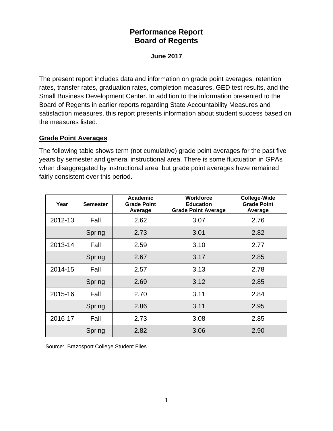# **Performance Report Board of Regents**

#### **June 2017**

The present report includes data and information on grade point averages, retention rates, transfer rates, graduation rates, completion measures, GED test results, and the Small Business Development Center. In addition to the information presented to the Board of Regents in earlier reports regarding State Accountability Measures and satisfaction measures, this report presents information about student success based on the measures listed.

#### **Grade Point Averages**

The following table shows term (not cumulative) grade point averages for the past five years by semester and general instructional area. There is some fluctuation in GPAs when disaggregated by instructional area, but grade point averages have remained fairly consistent over this period.

| Year    | <b>Semester</b> | Academic<br><b>Grade Point</b><br>Average | <b>Workforce</b><br><b>Education</b><br><b>Grade Point Average</b> | <b>College-Wide</b><br><b>Grade Point</b><br>Average |  |
|---------|-----------------|-------------------------------------------|--------------------------------------------------------------------|------------------------------------------------------|--|
| 2012-13 | Fall            | 2.62                                      | 3.07                                                               |                                                      |  |
|         | Spring          | 2.73                                      | 3.01                                                               | 2.82                                                 |  |
| 2013-14 | Fall            | 2.59                                      | 3.10                                                               | 2.77                                                 |  |
|         | Spring          | 2.67                                      | 3.17                                                               | 2.85                                                 |  |
| 2014-15 | Fall            | 2.57                                      | 3.13                                                               | 2.78                                                 |  |
|         | Spring          | 2.69                                      | 3.12                                                               | 2.85                                                 |  |
| 2015-16 | Fall            | 2.70                                      | 3.11                                                               | 2.84                                                 |  |
|         | Spring          | 2.86                                      | 3.11                                                               | 2.95                                                 |  |
| 2016-17 | Fall            | 2.73                                      | 3.08                                                               | 2.85                                                 |  |
|         | Spring          | 2.82                                      | 3.06                                                               | 2.90                                                 |  |

Source: Brazosport College Student Files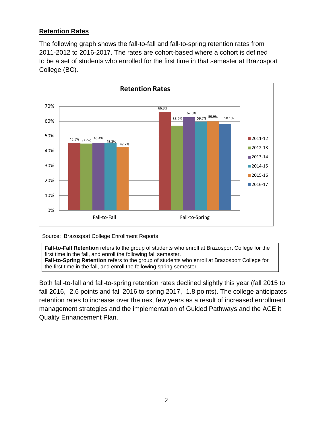# **Retention Rates**

The following graph shows the fall-to-fall and fall-to-spring retention rates from 2011-2012 to 2016-2017. The rates are cohort-based where a cohort is defined to be a set of students who enrolled for the first time in that semester at Brazosport College (BC).



#### Source: Brazosport College Enrollment Reports

**Fall-to-Fall Retention** refers to the group of students who enroll at Brazosport College for the first time in the fall, and enroll the following fall semester. **Fall-to-Spring Retention** refers to the group of students who enroll at Brazosport College for the first time in the fall, and enroll the following spring semester.

Both fall-to-fall and fall-to-spring retention rates declined slightly this year (fall 2015 to fall 2016, -2.6 points and fall 2016 to spring 2017, -1.8 points). The college anticipates retention rates to increase over the next few years as a result of increased enrollment management strategies and the implementation of Guided Pathways and the ACE it Quality Enhancement Plan.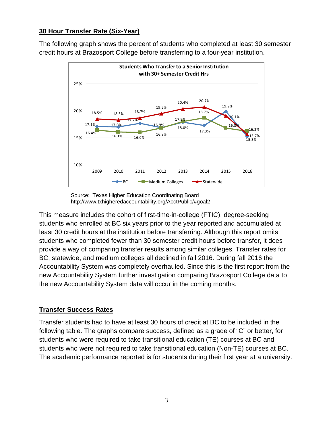### **30 Hour Transfer Rate (Six-Year)**

The following graph shows the percent of students who completed at least 30 semester credit hours at Brazosport College before transferring to a four-year institution.



 Source: Texas Higher Education Coordinating Board http://www.txhigheredaccountability.org/AcctPublic/#goal2

This measure includes the cohort of first-time-in-college (FTIC), degree-seeking students who enrolled at BC six years prior to the year reported and accumulated at least 30 credit hours at the institution before transferring. Although this report omits students who completed fewer than 30 semester credit hours before transfer, it does provide a way of comparing transfer results among similar colleges. Transfer rates for BC, statewide, and medium colleges all declined in fall 2016. During fall 2016 the Accountability System was completely overhauled. Since this is the first report from the new Accountability System further investigation comparing Brazosport College data to the new Accountability System data will occur in the coming months.

# **Transfer Success Rates**

Transfer students had to have at least 30 hours of credit at BC to be included in the following table. The graphs compare success, defined as a grade of "C" or better, for students who were required to take transitional education (TE) courses at BC and students who were not required to take transitional education (Non-TE) courses at BC. The academic performance reported is for students during their first year at a university.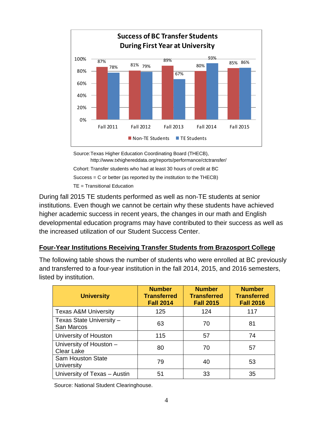

Source:Texas Higher Education Coordinating Board (THECB), http://www.txhighereddata.org/reports/performance/ctctransfer/ Cohort: Transfer students who had at least 30 hours of credit at BC Success = C or better (as reported by the institution to the THECB) TE = Transitional Education

During fall 2015 TE students performed as well as non-TE students at senior institutions. Even though we cannot be certain why these students have achieved higher academic success in recent years, the changes in our math and English developmental education programs may have contributed to their success as well as the increased utilization of our Student Success Center.

#### **Four-Year Institutions Receiving Transfer Students from Brazosport College**

The following table shows the number of students who were enrolled at BC previously and transferred to a four-year institution in the fall 2014, 2015, and 2016 semesters, listed by institution.

| <b>University</b>                            | <b>Number</b><br><b>Transferred</b><br><b>Fall 2014</b> | <b>Number</b><br><b>Transferred</b><br><b>Fall 2015</b> | <b>Number</b><br><b>Transferred</b><br><b>Fall 2016</b> |  |
|----------------------------------------------|---------------------------------------------------------|---------------------------------------------------------|---------------------------------------------------------|--|
| <b>Texas A&amp;M University</b>              | 125                                                     | 124                                                     | 117                                                     |  |
| Texas State University -<br>San Marcos       | 63                                                      | 70                                                      | 81                                                      |  |
| University of Houston                        | 115                                                     | 57                                                      | 74                                                      |  |
| University of Houston -<br><b>Clear Lake</b> | 80                                                      | 70                                                      | 57                                                      |  |
| <b>Sam Houston State</b><br>University       | 79                                                      | 40                                                      | 53                                                      |  |
| University of Texas - Austin                 | 51                                                      | 33                                                      | 35                                                      |  |

Source: National Student Clearinghouse.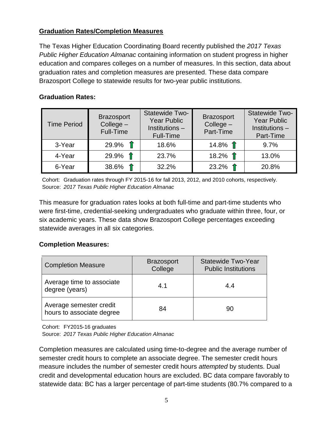# **Graduation Rates/Completion Measures**

The Texas Higher Education Coordinating Board recently published the *2017 Texas Public Higher Education Almanac* containing information on student progress in higher education and compares colleges on a number of measures. In this section, data about graduation rates and completion measures are presented. These data compare Brazosport College to statewide results for two-year public institutions.

# **Graduation Rates:**

| <b>Time Period</b> | <b>Brazosport</b><br>$Collect -$<br>Full-Time | Statewide Two-<br><b>Year Public</b><br>Institutions -<br>Full-Time | <b>Brazosport</b><br>$Collect -$<br>Part-Time | Statewide Two-<br><b>Year Public</b><br>Institutions -<br>Part-Time |
|--------------------|-----------------------------------------------|---------------------------------------------------------------------|-----------------------------------------------|---------------------------------------------------------------------|
| 3-Year             | $29.9\%$ 1                                    | 18.6%                                                               | 14.8% $\hat{\mathbb{T}}$                      | 9.7%                                                                |
| 4-Year             | $29.9\%$ 1                                    | 23.7%                                                               | 18.2% $\hat{\mathbb{T}}$                      | 13.0%                                                               |
| 6-Year             | 38.6% $\hat{\mathbb{T}}$                      | 32.2%                                                               | 23.2% $\hat{\mathbb{T}}$                      | 20.8%                                                               |

 Cohort: Graduation rates through FY 2015-16 for fall 2013, 2012, and 2010 cohorts, respectively. Source: *2017 Texas Public Higher Education Almanac*

This measure for graduation rates looks at both full-time and part-time students who were first-time, credential-seeking undergraduates who graduate within three, four, or six academic years. These data show Brazosport College percentages exceeding statewide averages in all six categories.

#### **Completion Measures:**

| <b>Completion Measure</b>                            | <b>Brazosport</b><br>College | <b>Statewide Two-Year</b><br><b>Public Institutions</b> |  |
|------------------------------------------------------|------------------------------|---------------------------------------------------------|--|
| Average time to associate<br>degree (years)          | 4.1                          | 4.4                                                     |  |
| Average semester credit<br>hours to associate degree | 84                           | 90                                                      |  |

Cohort: FY2015-16 graduates

Source: *2017 Texas Public Higher Education Almanac*

Completion measures are calculated using time-to-degree and the average number of semester credit hours to complete an associate degree. The semester credit hours measure includes the number of semester credit hours *attempted* by students. Dual credit and developmental education hours are excluded. BC data compare favorably to statewide data: BC has a larger percentage of part-time students (80.7% compared to a